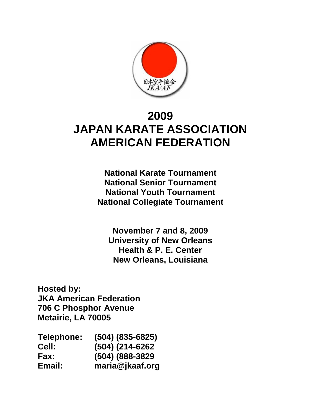

# **2009 JAPAN KARATE ASSOCIATION AMERICAN FEDERATION**

**National Karate Tournament National Senior Tournament National Youth Tournament National Collegiate Tournament**

**November 7 and 8, 2009 University of New Orleans Health & P. E. Center New Orleans, Louisiana** 

**Hosted by: JKA American Federation 706 C Phosphor Avenue Metairie, LA 70005**

| Telephone:   | $(504)$ $(835-6825)$ |
|--------------|----------------------|
| <b>Cell:</b> | (504) (214-6262      |
| Fax:         | (504) (888-3829      |
| Email:       | maria@jkaaf.org      |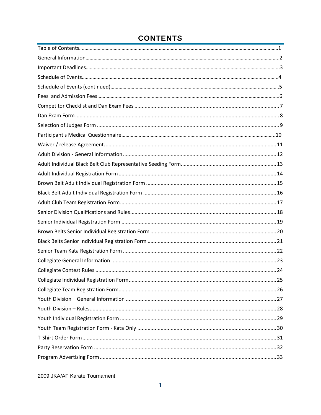### **CONTENTS**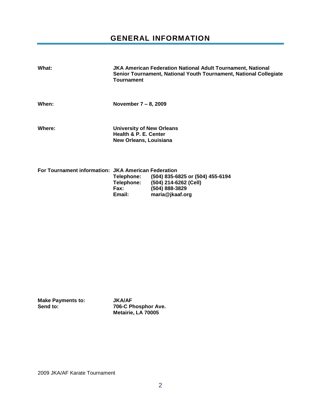### **GENERAL INFORMATION**

<span id="page-2-0"></span>

| What:  | <b>JKA American Federation National Adult Tournament, National</b><br>Senior Tournament, National Youth Tournament, National Collegiate<br><b>Tournament</b> |
|--------|--------------------------------------------------------------------------------------------------------------------------------------------------------------|
| When:  | November $7 - 8$ , 2009                                                                                                                                      |
| Where: | <b>University of New Orleans</b><br>Health & P. E. Center<br>New Orleans, Louisiana                                                                          |

| For Tournament information: JKA American Federation |            |                                  |
|-----------------------------------------------------|------------|----------------------------------|
|                                                     | Telephone: | (504) 835-6825 or (504) 455-6194 |
|                                                     | Telephone: | (504) 214-6262 (Cell)            |
|                                                     | Fax:       | (504) 888-3829                   |
|                                                     | Email:     | maria@ikaaf.org                  |

|          | <b>Make Payments to:</b> |  |
|----------|--------------------------|--|
| Send to: |                          |  |

**Make Payments to: JKA/AF Send to: 706-C Phosphor Ave. Metairie, LA 70005**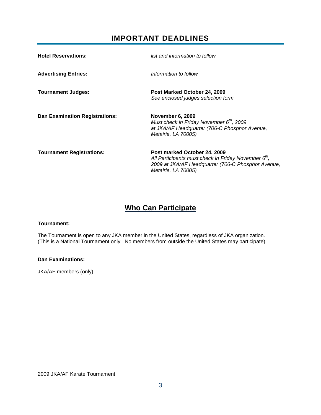### **IMPORTANT DEADLINES**

<span id="page-3-0"></span>

| <b>Hotel Reservations:</b>            | list and information to follow                                                                                                                                             |
|---------------------------------------|----------------------------------------------------------------------------------------------------------------------------------------------------------------------------|
| <b>Advertising Entries:</b>           | Information to follow                                                                                                                                                      |
| <b>Tournament Judges:</b>             | Post Marked October 24, 2009<br>See enclosed judges selection form                                                                                                         |
| <b>Dan Examination Registrations:</b> | <b>November 6, 2009</b><br>Must check in Friday November $6th$ , 2009<br>at JKA/AF Headquarter (706-C Phosphor Avenue,<br>Metairie, LA 70005)                              |
| <b>Tournament Registrations:</b>      | Post marked October 24, 2009<br>All Participants must check in Friday November $6th$ ,<br>2009 at JKA/AF Headquarter (706-C Phosphor Avenue,<br><i>Metairie, LA 70005)</i> |

### **Who Can Participate**

#### **Tournament:**

The Tournament is open to any JKA member in the United States, regardless of JKA organization. (This is a National Tournament only. No members from outside the United States may participate)

#### **Dan Examinations:**

JKA/AF members (only)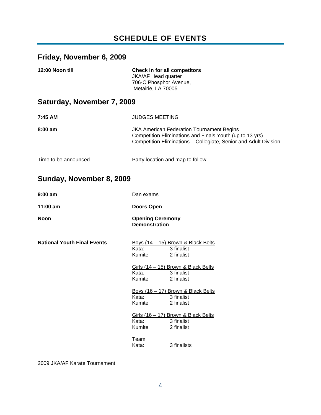### **SCHEDULE OF EVENTS**

### <span id="page-4-0"></span>**Friday, November 6, 2009**

| 12:00 Noon till | <b>Check in for all competitors</b> |
|-----------------|-------------------------------------|
|                 | <b>JKA/AF Head quarter</b>          |
|                 | 706-C Phosphor Avenue,              |
|                 | Metairie, LA 70005                  |

### **Saturday, November 7, 2009**

| 7:45 AM              | <b>JUDGES MEETING</b>                                                                                                                                                            |
|----------------------|----------------------------------------------------------------------------------------------------------------------------------------------------------------------------------|
| $8:00 \text{ am}$    | <b>JKA American Federation Tournament Begins</b><br>Competition Eliminations and Finals Youth (up to 13 yrs)<br>Competition Eliminations - Collegiate, Senior and Adult Division |
| Time to be announced | Party location and map to follow                                                                                                                                                 |

# **Sunday, November 8, 2009**

| $9:00$ am                          | Dan exams                                       |                                                                           |
|------------------------------------|-------------------------------------------------|---------------------------------------------------------------------------|
| $11:00$ am                         | Doors Open                                      |                                                                           |
| <b>Noon</b>                        | <b>Opening Ceremony</b><br><b>Demonstration</b> |                                                                           |
| <b>National Youth Final Events</b> | Kata:<br>Kumite                                 | Boys $(14 - 15)$ Brown & Black Belts<br>3 finalist<br>2 finalist          |
|                                    | Kata:<br>Kumite                                 | Girls (14 - 15) Brown & Black Belts<br>3 finalist<br>2 finalist           |
|                                    | Kata:<br>Kumite                                 | <u>Boys (16 – 17) Brown &amp; Black Belts</u><br>3 finalist<br>2 finalist |
|                                    | Kata:<br>Kumite                                 | Girls $(16 - 17)$ Brown & Black Belts<br>3 finalist<br>2 finalist         |
|                                    | Team<br>Kata:                                   | 3 finalists                                                               |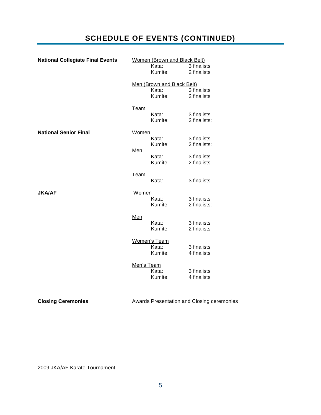## **SCHEDULE OF EVENTS (CONTINUED)**

| <b>National Collegiate Final Events</b> | Women (Brown and Black Belt) |                            |                                            |
|-----------------------------------------|------------------------------|----------------------------|--------------------------------------------|
|                                         |                              | Kata:                      | 3 finalists                                |
|                                         |                              | Kumite:                    | 2 finalists                                |
|                                         |                              | Men (Brown and Black Belt) |                                            |
|                                         |                              | Kata:                      | 3 finalists                                |
|                                         |                              | Kumite:                    | 2 finalists                                |
|                                         | <b>Team</b>                  |                            |                                            |
|                                         |                              | Kata:                      | 3 finalists                                |
|                                         |                              | Kumite:                    | 2 finalists:                               |
| <b>National Senior Final</b>            | Women                        |                            |                                            |
|                                         |                              | Kata:                      | 3 finalists                                |
|                                         | <u>Men</u>                   | Kumite:                    | 2 finalists:                               |
|                                         |                              | Kata:                      | 3 finalists                                |
|                                         |                              | Kumite:                    | 2 finalists                                |
|                                         | <u>Team</u>                  |                            |                                            |
|                                         |                              | Kata:                      | 3 finalists                                |
| <b>JKA/AF</b>                           | Women                        |                            |                                            |
|                                         |                              | Kata:                      | 3 finalists                                |
|                                         |                              | Kumite:                    | 2 finalists:                               |
|                                         | Men                          |                            |                                            |
|                                         |                              | Kata:                      | 3 finalists                                |
|                                         |                              | Kumite:                    | 2 finalists                                |
|                                         |                              | <b>Women's Team</b>        |                                            |
|                                         |                              | Kata:                      | 3 finalists                                |
|                                         |                              | Kumite:                    | 4 finalists                                |
|                                         | Men's Team                   |                            |                                            |
|                                         |                              | Kata:<br>Kumite:           | 3 finalists<br>4 finalists                 |
|                                         |                              |                            |                                            |
|                                         |                              |                            |                                            |
| <b>Closing Ceremonies</b>               |                              |                            | Awards Presentation and Closing ceremonies |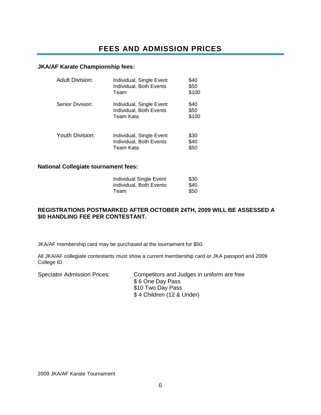### <span id="page-6-0"></span>**JKA/AF Karate Championship fees:**

| <b>Adult Division:</b> | Individual, Single Event<br>Individual, Both Events<br>Team      | \$40<br>\$50<br>\$100 |
|------------------------|------------------------------------------------------------------|-----------------------|
| Senior Division:       | Individual, Single Event<br>Individual, Both Events<br>Team Kata | \$40<br>\$50<br>\$100 |
| Youth Division:        | Individual, Single Event<br>Individual, Both Events<br>Team Kata | \$30<br>\$40<br>\$50  |

### **National Collegiate tournament fees:**

| Individual Single Event | \$30 |
|-------------------------|------|
| Individual. Both Events | \$40 |
| Team                    | \$50 |

### **REGISTRATIONS POSTMARKED AFTER OCTOBER 24TH, 2009 WILL BE ASSESSED A \$l0 HANDLING FEE PER CONTESTANT.**

JKA/AF membership card may be purchased at the tournament for \$50.

All JKA/AF collegiate contestants must show a current membership card or JKA passport and 2009 College ID.

Spectator Admission Prices: Competitors and Judges in uniform are free \$ 6 One Day Pass \$10 Two Day Pass \$ 4 Children (12 & Under)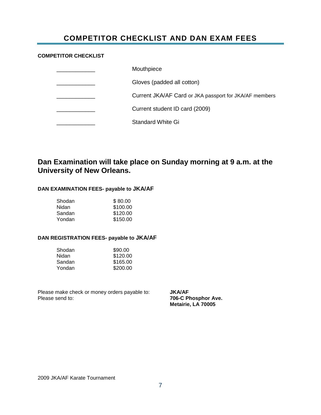### **COMPETITOR CHECKLIST AND DAN EXAM FEES**

#### <span id="page-7-0"></span>**COMPETITOR CHECKLIST**

| Mouthpiece                                             |
|--------------------------------------------------------|
| Gloves (padded all cotton)                             |
| Current JKA/AF Card or JKA passport for JKA/AF members |
| Current student ID card (2009)                         |
| <b>Standard White Gi</b>                               |

### **Dan Examination will take place on Sunday morning at 9 a.m. at the University of New Orleans.**

#### **DAN EXAMINATION FEES- payable to JKA/AF**

| Shodan | \$80.00  |
|--------|----------|
| Nidan  | \$100.00 |
| Sandan | \$120.00 |
| Yondan | \$150.00 |

#### **DAN REGISTRATION FEES- payable to JKA/AF**

| Shodan | \$90.00  |
|--------|----------|
| Nidan  | \$120.00 |
| Sandan | \$165.00 |
| Yondan | \$200.00 |

Please make check or money orders payable to: **JKA/AF**<br>Please send to: **706-C Please Send to:** 

**706-C Phosphor Ave. Metairie, LA 70005**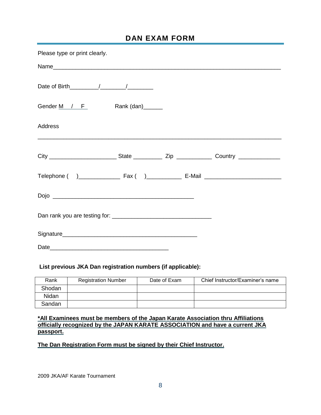### **DAN EXAM FORM**

<span id="page-8-0"></span>

| Please type or print clearly. |  |  |
|-------------------------------|--|--|
|                               |  |  |
|                               |  |  |
| Gender M / F Rank (dan)       |  |  |
| Address                       |  |  |
|                               |  |  |
|                               |  |  |
|                               |  |  |
|                               |  |  |
|                               |  |  |
|                               |  |  |

### **List previous JKA Dan registration numbers (if applicable):**

| Rank   | <b>Registration Number</b> | Date of Exam | Chief Instructor/Examiner's name |
|--------|----------------------------|--------------|----------------------------------|
| Shodan |                            |              |                                  |
| Nidan  |                            |              |                                  |
| Sandan |                            |              |                                  |

### **\*All Examinees must be members of the Japan Karate Association thru Affiliations officially recognized by the JAPAN KARATE ASSOCIATION and have a current JKA passport.**

### **The Dan Registration Form must be signed by their Chief Instructor.**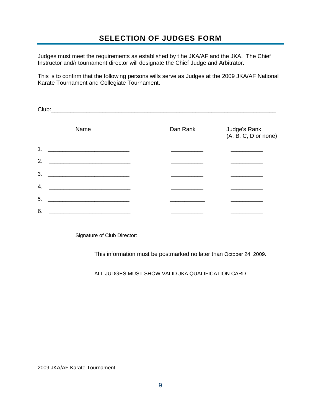<span id="page-9-0"></span>Judges must meet the requirements as established by t he JKA/AF and the JKA. The Chief Instructor and/r tournament director will designate the Chief Judge and Arbitrator.

This is to confirm that the following persons wills serve as Judges at the 2009 JKA/AF National Karate Tournament and Collegiate Tournament.

| Club: | <u> 1989 - Jan James James James James James James James James James James James James James James James James J</u> |          |                                      |
|-------|----------------------------------------------------------------------------------------------------------------------|----------|--------------------------------------|
|       | Name                                                                                                                 | Dan Rank | Judge's Rank<br>(A, B, C, D or none) |
| 1.    |                                                                                                                      |          |                                      |
| 2.    |                                                                                                                      |          |                                      |
| 3.    | <u> 2000 - Jan James James Barnett, amerikansk politik (d. 1</u>                                                     |          |                                      |
| 4.    |                                                                                                                      |          |                                      |
| 5.    | <u> 1989 - Johann John Stein, mars an deutscher Stein († 1958)</u>                                                   |          |                                      |
| 6.    |                                                                                                                      |          |                                      |
|       |                                                                                                                      |          |                                      |

Signature of Club Director:\_\_\_\_\_\_\_\_\_\_\_\_\_\_\_\_\_\_\_\_\_\_\_\_\_\_\_\_\_\_\_\_\_\_\_\_\_\_\_\_\_\_\_\_\_\_

This information must be postmarked no later than October 24, 2009.

ALL JUDGES MUST SHOW VALID JKA QUALIFICATION CARD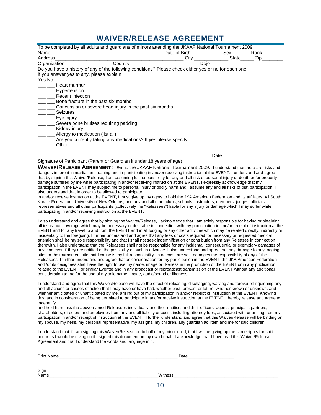### **WAIVER/RELEASE AGREEMENT**

| To be completed by all adults and guardians of minors attending the JKAAF National Tournament 2009.                                                                                                                                |                   |            |      |
|------------------------------------------------------------------------------------------------------------------------------------------------------------------------------------------------------------------------------------|-------------------|------------|------|
| Name                                                                                                                                                                                                                               | Date of Birth Sex |            | Rank |
| Address<br>the control of the control of the control of the control of the control of the control of                                                                                                                               |                   | City State | Zip  |
| <b>Organization Contract Contract Contract Contract Contract Contract Contract Contract Contract Contract Contract Contract Contract Contract Contract Contract Contract Contract Contract Contract Contract Contract Contract</b> | Dojo              |            |      |
| Do you have a history of any of the following conditions? Please check either yes or no for each one.                                                                                                                              |                   |            |      |
| If you answer yes to any, please explain:                                                                                                                                                                                          |                   |            |      |
| Yes No                                                                                                                                                                                                                             |                   |            |      |
| Heart murmur                                                                                                                                                                                                                       |                   |            |      |
| ___ ___ Hypertension                                                                                                                                                                                                               |                   |            |      |
| Recent infection                                                                                                                                                                                                                   |                   |            |      |
| Bone fracture in the past six months                                                                                                                                                                                               |                   |            |      |
| Concussion or severe head injury in the past six months                                                                                                                                                                            |                   |            |      |
| Seizures                                                                                                                                                                                                                           |                   |            |      |
| Eye injury                                                                                                                                                                                                                         |                   |            |      |
| Severe bone bruises requiring padding                                                                                                                                                                                              |                   |            |      |
| Kidney injury                                                                                                                                                                                                                      |                   |            |      |
| Allergy to medication (list all):                                                                                                                                                                                                  |                   |            |      |
| Are you currently taking any medications? If yes please specify                                                                                                                                                                    |                   |            |      |
| Other:                                                                                                                                                                                                                             |                   |            |      |
|                                                                                                                                                                                                                                    |                   |            |      |
|                                                                                                                                                                                                                                    |                   | Date       |      |

Signature of Participant (Parent or Guardian if under 18 years of age)

**WAIVER/RELEASE AGREEMENT:** Event: the JKAAF National Tournament 2009. I understand that there are risks and dangers inherent in martial arts training and in participating in and/or receiving instruction at the EVENT. I understand and agree that by signing this Waiver/Release, I am assuming full responsibility for any and all risk of personal injury or death or for property damage suffered by me while participating in and/or receiving instruction at the EVENT. I expressly acknowledge that my participation in the EVENT may subject me to personal injury or bodily harm and I assume any and all risks of that participation. I also understand that in order to be allowed to participate

in and/or receive instruction at the EVENT, I must give up my rights to hold the JKA American Federation and its affiliates, All South Karate Federation , University of New Orleans, and any and all other clubs, schools, instructors, members, judges, officials, representatives and all other participants (collectively the "Releasees") liable for any injury or damage which I may suffer while participating in and/or receiving instruction at the EVENT.

I also understand and agree that by signing the Waiver/Release, I acknowledge that I am solely responsible for having or obtaining all insurance coverage which may be necessary or desirable in connection with my participation in and/or receipt of instruction at the EVENT and for any travel to and from the EVENT and in all lodging or any other activities which may be related directly, indirectly or incidentally to the foregoing. I further understand and agree that any fees or costs required for necessary or requested medical attention shall be my sole responsibility and that I shall not seek indemnification or contribution from any Releasee in connection therewith. I also understand that the Releasees shall not be responsible for any incidental, consequential or exemplary damages of any kind even if they are notified of the possibility of such in advance. I also understand and agree that any damage to any lodging sites or the tournament site that I cause is my full responsibility. In no case are said damages the responsibility of any of the Releasees. I further understand and agree that as consideration for my participation in the EVENT, the JKA American Federation and /or its designees shall have the right to use my name, image or likeness in the promotion of the EVENT or in any publication relating to the EVENT (or similar Events) and in any broadcast or rebroadcast transmission of the EVENT without any additional consideration to me for the use of my said name, image, audio/sound or likeness.

I understand and agree that this Waiver/Release will have the effect of releasing, discharging, waiving and forever relinquishing any and all actions or causes of action that I may have or have had, whether past, present or future, whether known or unknown, and whether anticipated or unanticipated by me, arising out of my participation in and/or receipt of instruction at the EVENT. Knowing this, and in consideration of being permitted to participate in and/or receive instruction at the EVENT, I hereby release and agree to indemnify

and hold harmless the above-named Releasees individually and their entities, and their officers, agents, principals, partners, shareholders, directors and employees from any and all liability or costs, including attorney fees, associated with or arising from my participation in and/or receipt of instruction at the EVENT. I further understand and agree that this Waiver/Release will be binding on my spouse, my heirs, my personal representative, my assigns, my children, any guardian ad litem and me for said children.

I understand that if I am signing this Waiver/Release on behalf of my minor child, that I will be giving up the same rights for said minor as I would be giving up if I signed this document on my own behalf. I acknowledge that I have read this Waiver/Release Agreement and that I understand the words and language in it.

| <b>Print Name</b> | Date    |  |
|-------------------|---------|--|
| Sign<br>Name      | Witness |  |
|                   |         |  |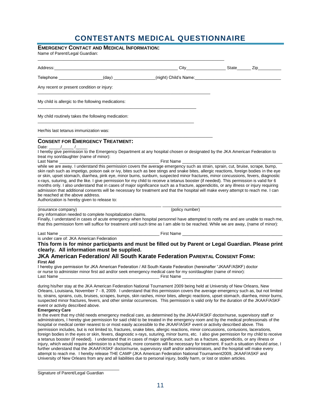### **CONTESTANTS MEDICAL QUESTIONNAIRE**

|  |  |  | <b>EMERGENCY CONTACT AND MEDICAL INFORMATION:</b> |
|--|--|--|---------------------------------------------------|
|--|--|--|---------------------------------------------------|

Name of Parent/Legal Guardian:

| <u>City City State Zip Zip</u>                                                                                                                                                                                                                                                                                                                                                                                                                                                                                                                                                                                                                                                                                                                                                                                                                                                                                                                                                                                                                                            |                                                                                                                                                                                    |
|---------------------------------------------------------------------------------------------------------------------------------------------------------------------------------------------------------------------------------------------------------------------------------------------------------------------------------------------------------------------------------------------------------------------------------------------------------------------------------------------------------------------------------------------------------------------------------------------------------------------------------------------------------------------------------------------------------------------------------------------------------------------------------------------------------------------------------------------------------------------------------------------------------------------------------------------------------------------------------------------------------------------------------------------------------------------------|------------------------------------------------------------------------------------------------------------------------------------------------------------------------------------|
| Telephone __________________(day) ______________(night) Child's Name: ______________________________                                                                                                                                                                                                                                                                                                                                                                                                                                                                                                                                                                                                                                                                                                                                                                                                                                                                                                                                                                      |                                                                                                                                                                                    |
|                                                                                                                                                                                                                                                                                                                                                                                                                                                                                                                                                                                                                                                                                                                                                                                                                                                                                                                                                                                                                                                                           |                                                                                                                                                                                    |
|                                                                                                                                                                                                                                                                                                                                                                                                                                                                                                                                                                                                                                                                                                                                                                                                                                                                                                                                                                                                                                                                           |                                                                                                                                                                                    |
|                                                                                                                                                                                                                                                                                                                                                                                                                                                                                                                                                                                                                                                                                                                                                                                                                                                                                                                                                                                                                                                                           |                                                                                                                                                                                    |
|                                                                                                                                                                                                                                                                                                                                                                                                                                                                                                                                                                                                                                                                                                                                                                                                                                                                                                                                                                                                                                                                           |                                                                                                                                                                                    |
| <b>CONSENT FOR EMERGENCY TREATMENT:</b><br>I hereby give permission to the Emergency Department at any hospital chosen or designated by the JKA American Federation to<br><b>Example 15 First Name</b><br>while we are away. I understand this permission covers the average emergency such as strain, sprain, cut, bruise, scrape, bump,<br>skin rash such as impetigo, poison oak or ivy, bites such as bee stings and snake bites, allergic reactions, foreign bodies in the eye<br>or skin, upset stomach, diarrhea, pink eye, minor burns, sunburn, suspected minor fractures, minor concussions, fevers, diagnostic<br>x-rays, suturing, and the like. I give permission for my child to receive a tetanus booster (if needed). This permission is valid for 6<br>months only. I also understand that in cases of major significance such as a fracture, appendicitis, or any illness or injury requiring<br>admission that additional consents will be necessary for treatment and that the hospital will make every attempt to reach me. I can<br>(policy number) |                                                                                                                                                                                    |
| Finally, I understand in cases of acute emergency when hospital personnel have attempted to notify me and are unable to reach me,<br>that this permission form will suffice for treatment until such time as I am able to be reached. While we are away, (name of minor):                                                                                                                                                                                                                                                                                                                                                                                                                                                                                                                                                                                                                                                                                                                                                                                                 |                                                                                                                                                                                    |
| This form is for minor participants and must be filled out by Parent or Legal Guardian. Please print<br>clearly. All information must be supplied.<br><b>JKA American Federation/ All South Karate Federation PARENTAL CONSENT FORM:</b><br>I hereby give permission for JKA American Federation / All South Karate Federation (hereinafter "JKAAF/ASKF) doctor<br>or nurse to administer minor first aid and/or seek emergency medical care for my son/daughter (name of minor):                                                                                                                                                                                                                                                                                                                                                                                                                                                                                                                                                                                         |                                                                                                                                                                                    |
|                                                                                                                                                                                                                                                                                                                                                                                                                                                                                                                                                                                                                                                                                                                                                                                                                                                                                                                                                                                                                                                                           | any information needed to complete hospitalization claims.<br>Last Name<br>Last Name<br>Tirst Name<br>The Care of: JKA American Federation<br>The Care of: JKA American Federation |

Orleans, Louisiana, November 7 - 8, 2009. I understand that this permission covers the average emergency such as, but not limited to, strains, sprains, cuts, bruises, scrapes, bumps, skin rashes, minor bites, allergic reactions, upset stomach, diarrhea, minor burns, suspected minor fractures, fevers, and other similar occurrences. This permission is valid only for the duration of the JKAAF/ASKF event or activity described above.

#### **Emergency Care**

In the event that my child needs emergency medical care, as determined by the JKAAF/ASKF doctor/nurse, supervisory staff or administrators, I hereby give permission for said child to be treated in the emergency room and by the medical professionals of the hospital or medical center nearest to or most easily accessible to the JKAAF/ASKF event or activity described above. This permission includes, but is not limited to, fractures, snake bites, allergic reactions, minor concussions, contusions, lacerations, foreign bodies in the eyes or skin, fevers, diagnostic x-rays, suturing, minor burns, etc. I also give permission for my child to receive a tetanus booster (if needed). I understand that in cases of major significance, such as a fracture, appendicitis, or any illness or injury, which would require admission to a hospital, more consents will be necessary for treatment. If such a situation should arise, I further understand that the JKAAF/ASKF doctor/nurse, supervisory staff and/or administrators, and the hospital will make every attempt to reach me. I hereby release THE CAMP (JKA American Federation National Tournament2009, JKAAF/ASKF and University of New Orleans from any and all liabilities due to personal injury, bodily harm, or lost or stolen articles.

Signature of Parent/Legal Guardian

\_\_\_\_\_\_\_\_\_\_\_\_\_\_\_\_\_\_\_\_\_\_\_\_\_\_\_\_\_\_\_\_\_\_\_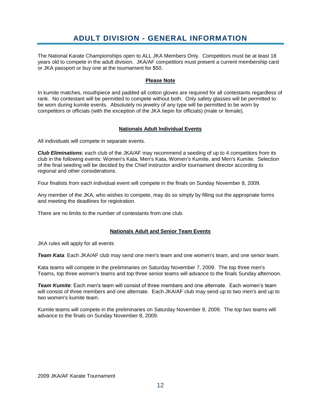### **ADULT DIVISION - GENERAL INFORMATION**

<span id="page-12-0"></span>The National Karate Championships open to ALL JKA Members Only. Competitors must be at least 18 years old to compete in the adult division. JKA/AF competitors must present a current membership card or JKA passport or buy one at the tournament for \$50.

#### **Please Note**

In kumite matches, mouthpiece and padded all cotton gloves are required for all contestants regardless of rank. No contestant will be permitted to compete without both. Only safety glasses will be permitted to be worn during kumite events. Absolutely no jewelry of any type will be permitted to be worn by competitors or officials (with the exception of the JKA tiepin for officials) (male or female).

#### **Nationals Adult lndividual Events**

All individuals will compete in separate events.

*Club Eliminations*; each club of the JKA/AF may recommend a seeding of up to 4 competitors from its club in the following events: Women's Kata, Men's Kata, Women's Kumite, and Men's Kumite. Selection of the final seeding will be decided by the Chief Instructor and/or tournament director according to regional and other considerations.

Four finalists from each individual event will compete in the finals on Sunday November 8, 2009.

Any member of the JKA, who wishes to compete, may do so simply by filling out the appropriate forms and meeting the deadlines for registration.

There are no limits to the number of contestants from one club.

#### **Nationals Adult and Senior Team Events**

JKA rules will apply for all events

*Team Kata*: Each JKA/AF club may send one men's team and one women's team, and one senior team.

Kata teams will compete in the preliminaries on Saturday November 7, 2009. The top three men's Teams, top three women's teams and top three senior teams will advance to the finals Sunday afternoon.

*Team Kumite*: Each men's team will consist of three members and one alternate. Each women's team will consist of three members and one alternate. Each JKA/AF club may send up to two men's and up to two women's kumite team.

Kumite teams will compete in the preliminaries on Saturday November 8, 2009. The top two teams will advance to the finals on Sunday November 8, 2009.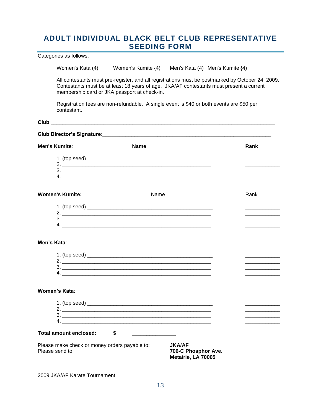### <span id="page-13-0"></span>**ADULT INDIVIDUAL BLACK BELT CLUB REPRESENTATIVE SEEDING FORM**

Categories as follows:

Women's Kata (4) Women's Kumite {4) Men's Kata (4) Men's Kumite {4)

All contestants must pre-register, and all registrations must be postmarked by October 24, 2009. Contestants must be at least 18 years of age. JKA/AF contestants must present a current membership card or JKA passport at check-in.

Registration fees are non-refundable. A single event is \$40 or both events are \$50 per contestant.

**Club**:\_\_\_\_\_\_\_\_\_\_\_\_\_\_\_\_\_\_\_\_\_\_\_\_\_\_\_\_\_\_\_\_\_\_\_\_\_\_\_\_\_\_\_\_\_\_\_\_\_\_\_\_\_\_\_\_\_\_\_\_\_\_\_\_\_\_\_\_\_\_\_\_\_\_\_\_\_

| <b>Men's Kumite:</b>   | <b>Name</b>                   | Rank |
|------------------------|-------------------------------|------|
|                        |                               |      |
|                        |                               |      |
|                        |                               |      |
|                        | 4. $\overline{\phantom{a}}$   |      |
| <b>Women's Kumite:</b> | Name                          | Rank |
|                        |                               |      |
|                        |                               |      |
|                        | $3.$ $\overline{\phantom{a}}$ |      |
|                        |                               |      |
| Men's Kata:            |                               |      |
|                        |                               |      |
|                        |                               |      |
|                        | 3.                            |      |
|                        |                               |      |

#### **Women's Kata**:

| 1. (top seed)          |  |  |  |  |
|------------------------|--|--|--|--|
|                        |  |  |  |  |
|                        |  |  |  |  |
|                        |  |  |  |  |
| Total amount enclosed: |  |  |  |  |

Please make check or money orders payable to: **JKA/AF**<br>Please send to: **706-C P** 

**706-C Phosphor Ave. Metairie, LA 70005**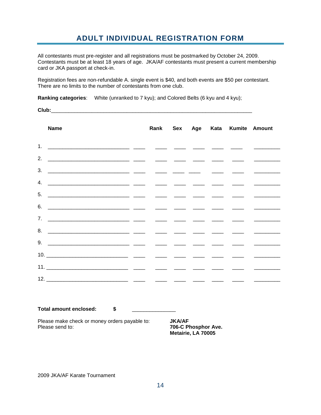### **ADULT INDIVIDUAL REGISTRATION FORM**

<span id="page-14-0"></span>All contestants must pre-register and all registrations must be postmarked by October 24, 2009. Contestants must be at least 18 years of age. JKA/AF contestants must present a current membership card or JKA passport at check-in.

Registration fees are non-refundable A. single event is \$40, and both events are \$50 per contestant. There are no limits to the number of contestants from one club.

**Ranking categories**: White (unranked to 7 kyu); and Colored Belts (6 kyu and 4 kyu);

**Club:**  $\Box$ 

| <b>Name</b> |  |  |  |                                 |
|-------------|--|--|--|---------------------------------|
|             |  |  |  |                                 |
|             |  |  |  |                                 |
|             |  |  |  |                                 |
|             |  |  |  |                                 |
|             |  |  |  |                                 |
|             |  |  |  |                                 |
|             |  |  |  |                                 |
|             |  |  |  |                                 |
|             |  |  |  |                                 |
|             |  |  |  |                                 |
|             |  |  |  |                                 |
|             |  |  |  |                                 |
|             |  |  |  |                                 |
|             |  |  |  | Rank Sex Age Kata Kumite Amount |

**Total amount enclosed: \$** \_\_\_\_\_\_\_\_\_\_\_\_\_\_\_

Please make check or money orders payable to: **JKA/AF**<br>Please send to: **706-C P** 

**706-C Phosphor Ave. Metairie, LA 70005**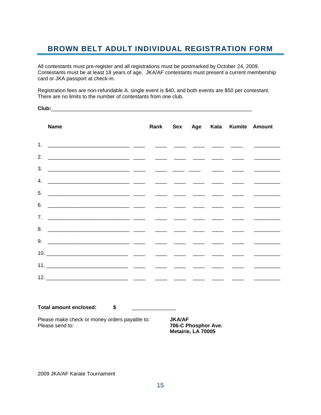### <span id="page-15-0"></span>**BROWN BELT ADULT INDIVIDUAL REGISTRATION FORM**

All contestants must pre-register and all registrations must be postmarked by October 24, 2009. Contestants must be at least 18 years of age. JKA/AF contestants must present a current membership card or JKA passport at check-in.

Registration fees are non-refundable A. single event is \$40, and both events are \$50 per contestant. There are no limits to the number of contestants from one club.

Club:

| <b>Name</b> |  |  | Rank Sex Age Kata Kumite Amount |                                                                                                                                                                                                                                                                                                                                                                                                                                                                            |
|-------------|--|--|---------------------------------|----------------------------------------------------------------------------------------------------------------------------------------------------------------------------------------------------------------------------------------------------------------------------------------------------------------------------------------------------------------------------------------------------------------------------------------------------------------------------|
|             |  |  |                                 |                                                                                                                                                                                                                                                                                                                                                                                                                                                                            |
|             |  |  |                                 | <u> The Common State Common State Common</u>                                                                                                                                                                                                                                                                                                                                                                                                                               |
|             |  |  |                                 |                                                                                                                                                                                                                                                                                                                                                                                                                                                                            |
|             |  |  |                                 |                                                                                                                                                                                                                                                                                                                                                                                                                                                                            |
|             |  |  |                                 |                                                                                                                                                                                                                                                                                                                                                                                                                                                                            |
|             |  |  |                                 |                                                                                                                                                                                                                                                                                                                                                                                                                                                                            |
|             |  |  |                                 |                                                                                                                                                                                                                                                                                                                                                                                                                                                                            |
|             |  |  |                                 | $\frac{1}{2} \left( \frac{1}{2} \right) \left( \frac{1}{2} \right) \left( \frac{1}{2} \right) \left( \frac{1}{2} \right) \left( \frac{1}{2} \right) \left( \frac{1}{2} \right) \left( \frac{1}{2} \right) \left( \frac{1}{2} \right) \left( \frac{1}{2} \right) \left( \frac{1}{2} \right) \left( \frac{1}{2} \right) \left( \frac{1}{2} \right) \left( \frac{1}{2} \right) \left( \frac{1}{2} \right) \left( \frac{1}{2} \right) \left( \frac{1}{2} \right) \left( \frac$ |
|             |  |  |                                 |                                                                                                                                                                                                                                                                                                                                                                                                                                                                            |
|             |  |  |                                 |                                                                                                                                                                                                                                                                                                                                                                                                                                                                            |
|             |  |  |                                 |                                                                                                                                                                                                                                                                                                                                                                                                                                                                            |
|             |  |  |                                 | the control of the control of the control of                                                                                                                                                                                                                                                                                                                                                                                                                               |

**Total amount enclosed: \$** \_\_\_\_\_\_\_\_\_\_\_\_\_\_\_

Please make check or money orders payable to: **JKA/AF**<br>Please send to: **706-C Please** 

**706-C Phosphor Ave. Metairie, LA 70005**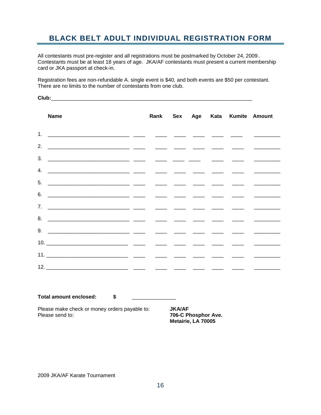### <span id="page-16-0"></span>**BLACK BELT ADULT INDIVIDUAL REGISTRATION FORM**

All contestants must pre-register and all registrations must be postmarked by October 24, 2009.. Contestants must be at least 18 years of age. JKA/AF contestants must present a current membership card or JKA passport at check-in.

Registration fees are non-refundable A. single event is \$40, and both events are \$50 per contestant. There are no limits to the number of contestants from one club.

**Name Rank Sex Age Kata Kumite Amount** 1. \_\_\_\_\_\_\_\_\_\_\_\_\_\_\_\_\_\_\_\_\_\_\_\_\_\_\_\_ \_\_\_\_ \_\_\_\_ \_\_\_\_ \_\_\_\_ \_\_\_\_ \_\_\_\_ \_\_\_\_\_\_\_\_\_ 2. \_\_\_\_\_\_\_\_\_\_\_\_\_\_\_\_\_\_\_\_\_\_\_\_\_\_\_\_ \_\_\_\_ \_\_\_\_ \_\_\_\_ \_\_\_\_ \_\_\_\_ \_\_\_\_ \_\_\_\_\_\_\_\_\_ 3. \_\_\_\_\_\_\_\_\_\_\_\_\_\_\_\_\_\_\_\_\_\_\_\_\_\_\_\_ \_\_\_\_ \_\_\_\_ \_\_\_\_ \_\_\_\_ \_\_\_\_ \_\_\_\_ \_\_\_\_\_\_\_\_\_ 4. \_\_\_\_\_\_\_\_\_\_\_\_\_\_\_\_\_\_\_\_\_\_\_\_\_\_\_\_ \_\_\_\_ \_\_\_\_ \_\_\_\_ \_\_\_\_ \_\_\_\_ \_\_\_\_ \_\_\_\_\_\_\_\_\_  $5.$   $\frac{1}{2}$   $\frac{1}{2}$   $\frac{1}{2}$   $\frac{1}{2}$   $\frac{1}{2}$   $\frac{1}{2}$   $\frac{1}{2}$   $\frac{1}{2}$   $\frac{1}{2}$   $\frac{1}{2}$   $\frac{1}{2}$   $\frac{1}{2}$   $\frac{1}{2}$   $\frac{1}{2}$   $\frac{1}{2}$   $\frac{1}{2}$   $\frac{1}{2}$   $\frac{1}{2}$   $\frac{1}{2}$   $\frac{1}{2}$   $\frac{1}{2}$   $\frac{1}{$ 6. \_\_\_\_\_\_\_\_\_\_\_\_\_\_\_\_\_\_\_\_\_\_\_\_\_\_\_\_ \_\_\_\_ \_\_\_\_ \_\_\_\_ \_\_\_\_ \_\_\_\_ \_\_\_\_ \_\_\_\_\_\_\_\_\_ 7. \_\_\_\_\_\_\_\_\_\_\_\_\_\_\_\_\_\_\_\_\_\_\_\_\_\_\_\_ \_\_\_\_ \_\_\_\_ \_\_\_\_ \_\_\_\_ \_\_\_\_ \_\_\_\_ \_\_\_\_\_\_\_\_\_ 8. \_\_\_\_\_\_\_\_\_\_\_\_\_\_\_\_\_\_\_\_\_\_\_\_\_\_\_\_ \_\_\_\_ \_\_\_\_ \_\_\_\_ \_\_\_\_ \_\_\_\_ \_\_\_\_ \_\_\_\_\_\_\_\_\_ 9. \_\_\_\_\_\_\_\_\_\_\_\_\_\_\_\_\_\_\_\_\_\_\_\_\_\_\_\_ \_\_\_\_ \_\_\_\_ \_\_\_\_ \_\_\_\_ \_\_\_\_ \_\_\_\_ \_\_\_\_\_\_\_\_\_ 10. \_\_\_\_\_\_\_\_\_\_\_\_\_\_\_\_\_\_\_\_\_\_\_\_\_\_\_\_ \_\_\_\_ \_\_\_\_ \_\_\_\_ \_\_\_\_ \_\_\_\_ \_\_\_\_ \_\_\_\_\_\_\_\_\_ 11. \_\_\_\_\_\_\_\_\_\_\_\_\_\_\_\_\_\_\_\_\_\_\_\_\_\_\_\_ \_\_\_\_ \_\_\_\_ \_\_\_\_ \_\_\_\_ \_\_\_\_ \_\_\_\_ \_\_\_\_\_\_\_\_\_ 12. \_\_\_\_\_\_\_\_\_\_\_\_\_\_\_\_\_\_\_\_\_\_\_\_\_\_\_\_ \_\_\_\_ \_\_\_\_ \_\_\_\_ \_\_\_\_ \_\_\_\_ \_\_\_\_ \_\_\_\_\_\_\_\_\_

**Total amount enclosed: \$** \_\_\_\_\_\_\_\_\_\_\_\_\_\_\_

Please make check or money orders payable to: **JKA/AF** Please send to: **706-C Phosphor Ave.**

**Metairie, LA 70005**

Club: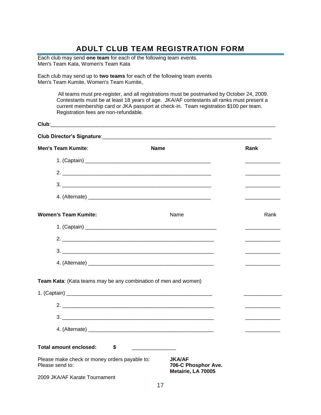### **ADULT CLUB TEAM REGISTRATION FORM**

<span id="page-17-0"></span>Each club may send **one team** for each of the following team events. Men's Team Kata, Women's Team Kata

Each club may send up to **two teams** for each of the following team events Men's Team Kumite, Women's Team Kumite,

> All teams must pre-register, and all registrations must be postmarked by October 24, 2009. Contestants must be at least 18 years of age. JKA/AF contestants all ranks must present a current membership card or JKA passport at check-in. Team registration \$100 per team. Registration fees are non-refundable.

| Club:                                                            |                                                            |                                         |
|------------------------------------------------------------------|------------------------------------------------------------|-----------------------------------------|
|                                                                  |                                                            |                                         |
| <b>Men's Team Kumite:</b>                                        | <b>Name</b>                                                | Rank                                    |
|                                                                  |                                                            |                                         |
| 2. $\overline{\phantom{a}}$                                      |                                                            |                                         |
|                                                                  |                                                            |                                         |
|                                                                  |                                                            |                                         |
| <b>Women's Team Kumite:</b>                                      | Name                                                       | Rank                                    |
|                                                                  |                                                            |                                         |
|                                                                  |                                                            |                                         |
|                                                                  |                                                            | the control of the control of the       |
|                                                                  |                                                            | and the state of the state of the state |
| Team Kata: (Kata teams may be any combination of men and women)  |                                                            |                                         |
|                                                                  |                                                            |                                         |
|                                                                  |                                                            |                                         |
|                                                                  |                                                            |                                         |
|                                                                  |                                                            | and the control of the control of       |
| Total amount enclosed:<br>\$                                     |                                                            |                                         |
| Please make check or money orders payable to:<br>Please send to: | <b>JKA/AF</b><br>706-C Phosphor Ave.<br>Metairie, LA 70005 |                                         |
| 2009 JKA/AF Karate Tournament                                    |                                                            |                                         |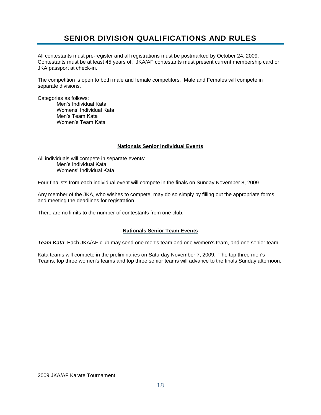### **SENIOR DIVISION QUALIFICATIONS AND RULES**

<span id="page-18-0"></span>All contestants must pre-register and all registrations must be postmarked by October 24, 2009. Contestants must be at least 45 years of. JKA/AF contestants must present current membership card or JKA passport at check-in.

The competition is open to both male and female competitors. Male and Females will compete in separate divisions.

Categories as follows:

Men's Individual Kata Womens' Individual Kata Men's Team Kata Women's Team Kata

#### **Nationals Senior lndividual Events**

All individuals will compete in separate events: Men's Individual Kata Womens' Individual Kata

Four finalists from each individual event will compete in the finals on Sunday November 8, 2009.

Any member of the JKA, who wishes to compete, may do so simply by filling out the appropriate forms and meeting the deadlines for registration.

There are no limits to the number of contestants from one club.

#### **Nationals Senior Team Events**

*Team Kata*: Each JKA/AF club may send one men's team and one women's team, and one senior team.

Kata teams will compete in the preliminaries on Saturday November 7, 2009. The top three men's Teams, top three women's teams and top three senior teams will advance to the finals Sunday afternoon.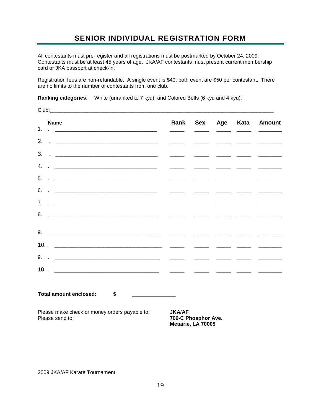### **SENIOR INDIVIDUAL REGISTRATION FORM**

<span id="page-19-0"></span>All contestants must pre-register and all registrations must be postmarked by October 24, 2009. Contestants must be at least 45 years of age. JKA/AF contestants must present current membership card or JKA passport at check-in.

Registration fees are non-refundable. A single event is \$40, both event are \$50 per contestant. There are no limits to the number of contestants from one club.

**Ranking categories**: White (unranked to 7 kyu); and Colored Belts (6 kyu and 4 kyu);

| <b>Name</b>                                                                                                                                                                                                                                                                                                                                                                                                                                                         | Rank                                                                               |                          |                                                                                                                                                                                                                                                                                                                                                                                                                                                                                                 | Sex Age Kata Amount                                                                                                                                                                                                                                                                                                                                                                                                                                                                    |
|---------------------------------------------------------------------------------------------------------------------------------------------------------------------------------------------------------------------------------------------------------------------------------------------------------------------------------------------------------------------------------------------------------------------------------------------------------------------|------------------------------------------------------------------------------------|--------------------------|-------------------------------------------------------------------------------------------------------------------------------------------------------------------------------------------------------------------------------------------------------------------------------------------------------------------------------------------------------------------------------------------------------------------------------------------------------------------------------------------------|----------------------------------------------------------------------------------------------------------------------------------------------------------------------------------------------------------------------------------------------------------------------------------------------------------------------------------------------------------------------------------------------------------------------------------------------------------------------------------------|
| 1.                                                                                                                                                                                                                                                                                                                                                                                                                                                                  |                                                                                    |                          |                                                                                                                                                                                                                                                                                                                                                                                                                                                                                                 |                                                                                                                                                                                                                                                                                                                                                                                                                                                                                        |
| 2.<br>$\begin{picture}(100,100) \put(0,0){\line(1,0){10}} \put(10,0){\line(1,0){10}} \put(10,0){\line(1,0){10}} \put(10,0){\line(1,0){10}} \put(10,0){\line(1,0){10}} \put(10,0){\line(1,0){10}} \put(10,0){\line(1,0){10}} \put(10,0){\line(1,0){10}} \put(10,0){\line(1,0){10}} \put(10,0){\line(1,0){10}} \put(10,0){\line(1,0){10}} \put(10,0){\line$                                                                                                           | $\overline{\phantom{a}}$ and $\overline{\phantom{a}}$ and $\overline{\phantom{a}}$ |                          |                                                                                                                                                                                                                                                                                                                                                                                                                                                                                                 |                                                                                                                                                                                                                                                                                                                                                                                                                                                                                        |
| $3.$ $1.$ $2.$                                                                                                                                                                                                                                                                                                                                                                                                                                                      |                                                                                    |                          |                                                                                                                                                                                                                                                                                                                                                                                                                                                                                                 |                                                                                                                                                                                                                                                                                                                                                                                                                                                                                        |
| 4.<br><u> 1989 - Jan Barnett, fransk politiker og den større og den større og den større og den større og den større og</u>                                                                                                                                                                                                                                                                                                                                         | $\overline{\phantom{a}}$                                                           |                          |                                                                                                                                                                                                                                                                                                                                                                                                                                                                                                 |                                                                                                                                                                                                                                                                                                                                                                                                                                                                                        |
| 5.<br>$\mathbf{F} = \frac{1}{2} \left[ \frac{1}{2} \frac{1}{2} \left( \frac{1}{2} \frac{1}{2} \frac{1}{2} \frac{1}{2} \frac{1}{2} \frac{1}{2} \frac{1}{2} \frac{1}{2} \frac{1}{2} \frac{1}{2} \frac{1}{2} \frac{1}{2} \frac{1}{2} \frac{1}{2} \frac{1}{2} \frac{1}{2} \frac{1}{2} \frac{1}{2} \frac{1}{2} \frac{1}{2} \frac{1}{2} \frac{1}{2} \frac{1}{2} \frac{1}{2} \frac{1}{2} \frac{1}{2} \frac{1$                                                              | $\overline{\phantom{a}}$                                                           |                          |                                                                                                                                                                                                                                                                                                                                                                                                                                                                                                 | $\begin{array}{cccccccccc} \multicolumn{2}{c}{} & \multicolumn{2}{c}{} & \multicolumn{2}{c}{} & \multicolumn{2}{c}{} & \multicolumn{2}{c}{} & \multicolumn{2}{c}{} & \multicolumn{2}{c}{} & \multicolumn{2}{c}{} & \multicolumn{2}{c}{} & \multicolumn{2}{c}{} & \multicolumn{2}{c}{} & \multicolumn{2}{c}{} & \multicolumn{2}{c}{} & \multicolumn{2}{c}{} & \multicolumn{2}{c}{} & \multicolumn{2}{c}{} & \multicolumn{2}{c}{} & \multicolumn{2}{c}{} & \multicolumn{2}{c}{} & \mult$ |
| 6.<br>$\mathcal{L} = \frac{1}{\sqrt{2\pi}}\left[\frac{1}{\sqrt{2\pi}}\frac{\left(\frac{1}{\sqrt{2\pi}}\right)^{2}}{\left(\frac{1}{\sqrt{2\pi}}\right)^{2}}\frac{\left(\frac{1}{\sqrt{2\pi}}\right)^{2}}{\left(\frac{1}{\sqrt{2\pi}}\right)^{2}}\frac{\left(\frac{1}{\sqrt{2\pi}}\right)^{2}}{\left(\frac{1}{\sqrt{2\pi}}\right)^{2}}\frac{\left(\frac{1}{\sqrt{2\pi}}\right)^{2}}{\left(\frac{1}{\sqrt{2\pi}}\right)^{2}}\frac{\left(\frac{1}{\sqrt{2\pi}}\right)^$ | $\frac{1}{2}$                                                                      | $\overline{\phantom{a}}$ |                                                                                                                                                                                                                                                                                                                                                                                                                                                                                                 |                                                                                                                                                                                                                                                                                                                                                                                                                                                                                        |
| 7 <sub>1</sub><br>$\ddotsc$ . The contract of the contract of the contract of the contract of the contract of the contract of the contract of the contract of the contract of the contract of the contract of the contract of the contract of the                                                                                                                                                                                                                   | $\overline{\phantom{a}}$ and $\overline{\phantom{a}}$ and $\overline{\phantom{a}}$ |                          |                                                                                                                                                                                                                                                                                                                                                                                                                                                                                                 |                                                                                                                                                                                                                                                                                                                                                                                                                                                                                        |
| 8.                                                                                                                                                                                                                                                                                                                                                                                                                                                                  |                                                                                    |                          |                                                                                                                                                                                                                                                                                                                                                                                                                                                                                                 |                                                                                                                                                                                                                                                                                                                                                                                                                                                                                        |
|                                                                                                                                                                                                                                                                                                                                                                                                                                                                     |                                                                                    |                          |                                                                                                                                                                                                                                                                                                                                                                                                                                                                                                 |                                                                                                                                                                                                                                                                                                                                                                                                                                                                                        |
|                                                                                                                                                                                                                                                                                                                                                                                                                                                                     |                                                                                    |                          | $\begin{tabular}{ll} \multicolumn{2}{c} {\textbf{1}} & \multicolumn{2}{c} {\textbf{2}} & \multicolumn{2}{c} {\textbf{3}} & \multicolumn{2}{c} {\textbf{4}} \\ \multicolumn{2}{c} {\textbf{1}} & \multicolumn{2}{c} {\textbf{2}} & \multicolumn{2}{c} {\textbf{3}} & \multicolumn{2}{c} {\textbf{4}} \\ \multicolumn{2}{c} {\textbf{1}} & \multicolumn{2}{c} {\textbf{1}} & \multicolumn{2}{c} {\textbf{1}} & \multicolumn{2}{c} {\textbf{1}} \\ \multicolumn{2}{c} {\textbf{1}} & \multicolumn$ |                                                                                                                                                                                                                                                                                                                                                                                                                                                                                        |
|                                                                                                                                                                                                                                                                                                                                                                                                                                                                     |                                                                                    |                          |                                                                                                                                                                                                                                                                                                                                                                                                                                                                                                 |                                                                                                                                                                                                                                                                                                                                                                                                                                                                                        |
|                                                                                                                                                                                                                                                                                                                                                                                                                                                                     | $\overline{\phantom{a}}$                                                           |                          |                                                                                                                                                                                                                                                                                                                                                                                                                                                                                                 | $\frac{1}{2}$                                                                                                                                                                                                                                                                                                                                                                                                                                                                          |
|                                                                                                                                                                                                                                                                                                                                                                                                                                                                     |                                                                                    |                          |                                                                                                                                                                                                                                                                                                                                                                                                                                                                                                 | <u> 1999 - Jan James James (h. 1989)</u>                                                                                                                                                                                                                                                                                                                                                                                                                                               |
|                                                                                                                                                                                                                                                                                                                                                                                                                                                                     |                                                                                    |                          |                                                                                                                                                                                                                                                                                                                                                                                                                                                                                                 |                                                                                                                                                                                                                                                                                                                                                                                                                                                                                        |
| Total amount enclosed: \$                                                                                                                                                                                                                                                                                                                                                                                                                                           |                                                                                    |                          |                                                                                                                                                                                                                                                                                                                                                                                                                                                                                                 |                                                                                                                                                                                                                                                                                                                                                                                                                                                                                        |
| Please make check or money orders payable to:<br>Please send to:                                                                                                                                                                                                                                                                                                                                                                                                    | <b>JKA/AF</b><br>706-C Phosphor Ave.                                               |                          |                                                                                                                                                                                                                                                                                                                                                                                                                                                                                                 |                                                                                                                                                                                                                                                                                                                                                                                                                                                                                        |

2009 JKA/AF Karate Tournament

**Metairie, LA 70005**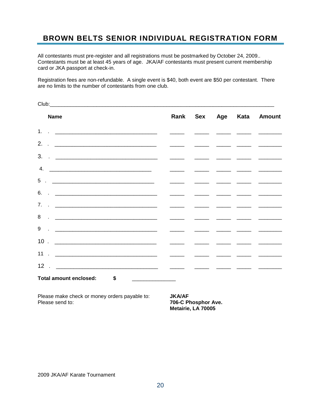### <span id="page-20-0"></span>**BROWN BELTS SENIOR INDIVIDUAL REGISTRATION FORM**

All contestants must pre-register and all registrations must be postmarked by October 24, 2009.. Contestants must be at least 45 years of age. JKA/AF contestants must present current membership card or JKA passport at check-in.

Registration fees are non-refundable. A single event is \$40, both event are \$50 per contestant. There are no limits to the number of contestants from one club.

| <b>Name</b>                                                                                                                                                                                                                                            |  |  | Rank Sex Age Kata Amount |
|--------------------------------------------------------------------------------------------------------------------------------------------------------------------------------------------------------------------------------------------------------|--|--|--------------------------|
|                                                                                                                                                                                                                                                        |  |  |                          |
|                                                                                                                                                                                                                                                        |  |  |                          |
|                                                                                                                                                                                                                                                        |  |  |                          |
| 4.                                                                                                                                                                                                                                                     |  |  |                          |
|                                                                                                                                                                                                                                                        |  |  |                          |
|                                                                                                                                                                                                                                                        |  |  |                          |
| 7 <sub>1</sub><br><u>and the second contract of the second contract of the second contract of the second contract of the second contract of the second contract of the second contract of the second contract of the second contract of the second</u> |  |  |                          |
|                                                                                                                                                                                                                                                        |  |  |                          |
|                                                                                                                                                                                                                                                        |  |  |                          |
|                                                                                                                                                                                                                                                        |  |  |                          |
|                                                                                                                                                                                                                                                        |  |  |                          |
|                                                                                                                                                                                                                                                        |  |  |                          |
| Total amount enclosed: \$<br><u> 1986 - Johann Barbara, martin d</u>                                                                                                                                                                                   |  |  |                          |

Please make check or money orders payable to: **JKA/AF**<br>Please send to: **706-C P** 

**706-C Phosphor Ave. Metairie, LA 70005**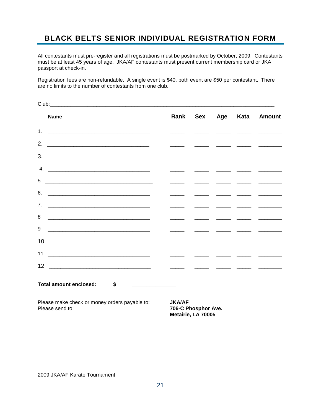### <span id="page-21-0"></span>**BLACK BELTS SENIOR INDIVIDUAL REGISTRATION FORM**

All contestants must pre-register and all registrations must be postmarked by October, 2009. Contestants must be at least 45 years of age. JKA/AF contestants must present current membership card or JKA passport at check-in.

Registration fees are non-refundable. A single event is \$40, both event are \$50 per contestant. There are no limits to the number of contestants from one club.

| <b>Name</b>                   |                                                                                    |  | Rank Sex Age Kata Amount |
|-------------------------------|------------------------------------------------------------------------------------|--|--------------------------|
|                               |                                                                                    |  |                          |
| 2.                            |                                                                                    |  |                          |
|                               | $\overline{\phantom{a}}$                                                           |  |                          |
| 4.                            |                                                                                    |  |                          |
|                               | $\overline{\phantom{a}}$ and $\overline{\phantom{a}}$ and $\overline{\phantom{a}}$ |  |                          |
|                               |                                                                                    |  |                          |
|                               |                                                                                    |  |                          |
| 8                             |                                                                                    |  |                          |
| 9                             |                                                                                    |  |                          |
|                               | $\overline{\phantom{a}}$                                                           |  |                          |
| $11$ $\overline{\phantom{a}}$ |                                                                                    |  |                          |
|                               |                                                                                    |  |                          |
| Total amount enclosed: \$     |                                                                                    |  |                          |

Please make check or money orders payable to: **JKA/AF**<br>Please send to: **706-C P** 

**706-C Phosphor Ave. Metairie, LA 70005**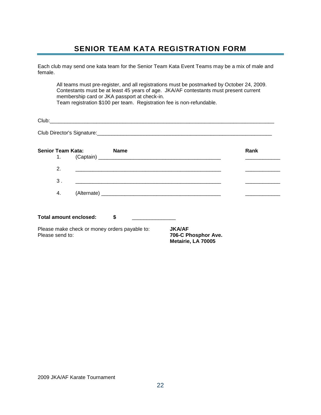### **SENIOR TEAM KATA REGISTRATION FORM**

<span id="page-22-0"></span>Each club may send one kata team for the Senior Team Kata Event Teams may be a mix of male and female.

All teams must pre-register, and all registrations must be postmarked by October 24, 2009. Contestants must be at least 45 years of age. JKA/AF contestants must present current membership card or JKA passport at check-in. Team registration \$100 per team. Registration fee is non-refundable.

| Club:                      |  |  |
|----------------------------|--|--|
|                            |  |  |
| Club Director's Signature: |  |  |

| <b>Senior Team Kata:</b><br>1. | <b>Name</b>                                   |                                                            | Rank |
|--------------------------------|-----------------------------------------------|------------------------------------------------------------|------|
| 2.                             |                                               |                                                            |      |
| 3.                             |                                               |                                                            |      |
| 4.                             |                                               |                                                            |      |
| Total amount enclosed:         | S                                             |                                                            |      |
| Please send to:                | Please make check or money orders payable to: | <b>JKA/AF</b><br>706-C Phosphor Ave.<br>Metairie, LA 70005 |      |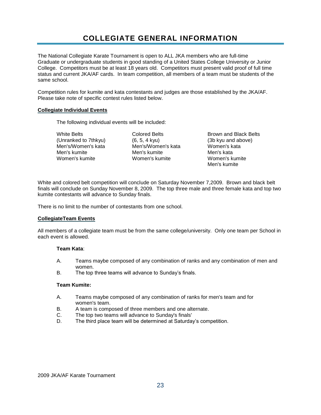### **COLLEGIATE GENERAL INFORMATION**

<span id="page-23-0"></span>The National Collegiate Karate Tournament is open to ALL JKA members who are full-time Graduate or undergraduate students in good standing of a United States College University or Junior College. Competitors must be at least 18 years old. Competitors must present valid proof of full time status and current JKA/AF cards. In team competition, all members of a team must be students of the same school.

Competition rules for kumite and kata contestants and judges are those established by the JKA/AF. Please take note of specific contest rules listed below.

#### **Collegiate Individual Events**

The following individual events will be included:

White Belts **Brown and Belts** Colored Belts **Brown and Black Belts** (Unranked to 7thkyu) (6, 5, 4 kyu) (3b kyu and above)<br>Men's/Women's kata (1990) Men's/Women's kata (1990) (30 kyu and above) Men's/Women's kata **Women's kata** Men's kumite Men's kumite Men's kata Women's kumite Women's kumite Women's kumite

Men's kumite

White and colored belt competition will conclude on Saturday November 7,2009. Brown and black belt finals will conclude on Sunday November 8, 2009. The top three male and three female kata and top two kumite contestants will advance to Sunday finals.

There is no limit to the number of contestants from one school.

#### **CollegiateTeam Events**

All members of a collegiate team must be from the same college/university. Only one team per School in each event is allowed.

#### **Team Kata**:

- A. Teams maybe composed of any combination of ranks and any combination of men and women.
- B. The top three teams will advance to Sunday's finals.

#### **Team Kumite:**

- A. Teams maybe composed of any combination of ranks for men's team and for women's team.
- B. A team is composed of three members and one alternate.
- C. The top two teams will advance to Sunday's finals'
- D. The third place team will be determined at Saturday's competition.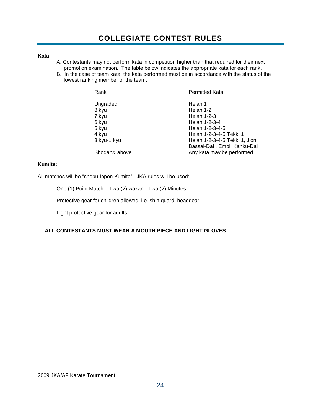### **COLLEGIATE CONTEST RULES**

#### <span id="page-24-0"></span>**Kata:**

- A: Contestants may not perform kata in competition higher than that required for their next promotion examination. The table below indicates the appropriate kata for each rank.
- B. In the case of team kata, the kata performed must be in accordance with the status of the lowest ranking member of the team.

| Rank          | <b>Permitted Kata</b>         |
|---------------|-------------------------------|
| Ungraded      | Heian 1                       |
| 8 kyu         | Heian 1-2                     |
| 7 kyu         | Heian 1-2-3                   |
| 6 kyu         | Heian 1-2-3-4                 |
| 5 kyu         | Heian 1-2-3-4-5               |
| 4 kyu         | Heian 1-2-3-4-5 Tekki 1       |
| 3 kyu-1 kyu   | Heian 1-2-3-4-5 Tekki 1, Jion |
|               | Bassai-Dai, Empi, Kanku-Dai   |
| Shodan& above | Any kata may be performed     |

#### **Kumite:**

All matches will be "shobu Ippon Kumite". JKA rules will be used:

One (1) Point Match – Two (2) wazari - Two (2) Minutes

Protective gear for children allowed, i.e. shin guard, headgear.

Light protective gear for adults.

### **ALL CONTESTANTS MUST WEAR A MOUTH PIECE AND LIGHT GLOVES**.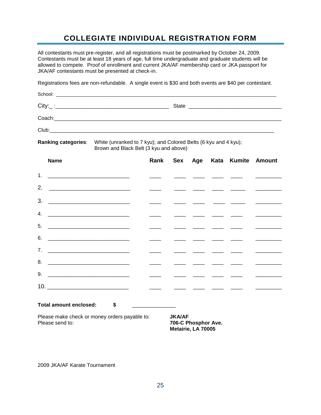### **COLLEGIATE INDIVIDUAL REGISTRATION FORM**

<span id="page-25-0"></span>All contestants must pre-register, and all registrations must be postmarked by October 24, 2009. Contestants must be at least 18 years of age, full time undergraduate and graduate students will be allowed to compete. Proof of enrollment and current JKA/AF membership card or JKA passport for JKA/AF contestants must be presented at check-in.

Registrations fees are non-refundable. A single event is \$30 and both events are \$40 per contestant.

| <b>Ranking categories:</b> |  | White (unranked to 7 kyu); and Colored Belts (6 kyu and 4 kyu);<br>Brown and Black Belt (3 kyu and above) |  |  |                                                                                                                                                                                                                                      |
|----------------------------|--|-----------------------------------------------------------------------------------------------------------|--|--|--------------------------------------------------------------------------------------------------------------------------------------------------------------------------------------------------------------------------------------|
| <b>Name</b>                |  |                                                                                                           |  |  | Rank Sex Age Kata Kumite Amount                                                                                                                                                                                                      |
| 1 <sub>1</sub>             |  |                                                                                                           |  |  |                                                                                                                                                                                                                                      |
| 2.                         |  |                                                                                                           |  |  |                                                                                                                                                                                                                                      |
| 3.                         |  |                                                                                                           |  |  | <u> De Carlos de Carlos de Carlos de Carlos de Carlos de Carlos de Carlos de Carlos de Carlos de Carlos de Carlos de Carlos de Carlos de Carlos de Carlos de Carlos de Carlos de Carlos de Carlos de Carlos de Carlos de Carlos </u> |
| 4.                         |  |                                                                                                           |  |  |                                                                                                                                                                                                                                      |
| 5.                         |  |                                                                                                           |  |  |                                                                                                                                                                                                                                      |
| 6.                         |  |                                                                                                           |  |  |                                                                                                                                                                                                                                      |
| 7.                         |  |                                                                                                           |  |  | <u> 2000 - 2000 - 2000 - 2000 - 2000 - 2000 - 2000 - 2000 - 2000 - 2000 - 2000 - 2000 - 2000 - 2000 - 2000 - 2000 - 2000 - 2000 - 2000 - 2000 - 2000 - 2000 - 2000 - 2000 - 2000 - 2000 - 2000 - 2000 - 2000 - 2000 - 2000 - 200</u> |

9. \_\_\_\_\_\_\_\_\_\_\_\_\_\_\_\_\_\_\_\_\_\_\_\_\_\_\_\_ \_\_\_\_ \_\_\_\_ \_\_\_\_ \_\_\_\_ \_\_\_\_ \_\_\_\_\_\_\_\_\_

Please make check or money orders payable to: **JKA/AF**<br>Please send to: **706-C Please** 

8. \_\_\_\_\_\_\_\_\_\_\_\_\_\_\_\_\_\_\_\_\_\_\_\_\_\_\_\_ \_\_\_\_ \_\_\_\_ \_\_\_\_ \_\_\_\_ \_\_\_\_ \_\_\_\_\_\_\_\_\_

10. \_\_\_\_\_\_\_\_\_\_\_\_\_\_\_\_\_\_\_\_\_\_\_\_\_\_\_\_ \_\_\_\_ \_\_\_\_ \_\_\_\_ \_\_\_\_ \_\_\_\_ \_\_\_\_\_\_\_\_\_

**Total amount enclosed: \$** \_\_\_\_\_\_\_\_\_\_\_\_\_\_\_

**706-C Phosphor Ave. Metairie, LA 70005**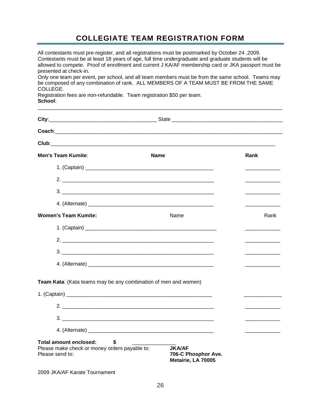### **COLLEGIATE TEAM REGISTRATION FORM**

<span id="page-26-0"></span>All contestants must pre-register, and all registrations must be postmarked by October 24 ,2009. Contestants must be at least 18 years of age, full time undergraduate and graduate students will be allowed to compete. Proof of enrollment and current J KA/AF membership card or JKA passport must be presented at check-in.

Only one team per event, per school, and all team members must be from the same school. Teams may be composed of any combination of rank. ALL MEMBERS OF A TEAM MUST BE FROM THE SAME COLLEGE.

\_\_\_\_\_\_\_\_\_\_\_\_\_\_\_\_\_\_\_\_\_\_\_\_\_\_\_\_\_\_\_\_\_\_\_\_\_\_\_\_\_\_\_\_\_\_\_\_\_\_\_\_\_\_\_\_\_\_\_\_\_\_\_\_\_\_\_\_\_\_\_\_\_\_\_\_\_\_\_\_\_\_\_\_

Registration fees are non-refundable. Team registration \$50 per team. **School**:

| <b>Men's Team Kumite:</b>                                                                               | <b>Name</b>                                                | Rank                                                                                                                                                                                                                                 |
|---------------------------------------------------------------------------------------------------------|------------------------------------------------------------|--------------------------------------------------------------------------------------------------------------------------------------------------------------------------------------------------------------------------------------|
|                                                                                                         |                                                            |                                                                                                                                                                                                                                      |
|                                                                                                         | $2.$ $\overline{\phantom{a}}$                              |                                                                                                                                                                                                                                      |
|                                                                                                         | 3.                                                         |                                                                                                                                                                                                                                      |
|                                                                                                         |                                                            |                                                                                                                                                                                                                                      |
| <b>Women's Team Kumite:</b>                                                                             | Name                                                       | Rank                                                                                                                                                                                                                                 |
|                                                                                                         |                                                            |                                                                                                                                                                                                                                      |
|                                                                                                         |                                                            | <u> 1989 - Johann Barbara, martxa a</u>                                                                                                                                                                                              |
|                                                                                                         |                                                            |                                                                                                                                                                                                                                      |
|                                                                                                         |                                                            |                                                                                                                                                                                                                                      |
| Team Kata: (Kata teams may be any combination of men and women)                                         |                                                            |                                                                                                                                                                                                                                      |
|                                                                                                         |                                                            |                                                                                                                                                                                                                                      |
|                                                                                                         |                                                            | <u> Listen von de Stadt von de Stadt von de Stadt von de Stadt von de Stadt von de Stadt von de Stadt von de Stadt von de Stadt von de Stadt von de Stadt von de Stadt von de Stadt von de Stadt von de Stadt von de Stadt von d</u> |
| <b>Total amount enclosed:</b><br>\$<br>Please make check or money orders payable to:<br>Please send to: | <b>JKA/AF</b><br>706-C Phosphor Ave.<br>Metairie, LA 70005 |                                                                                                                                                                                                                                      |
| 2009 JKA/AF Karate Tournament                                                                           |                                                            |                                                                                                                                                                                                                                      |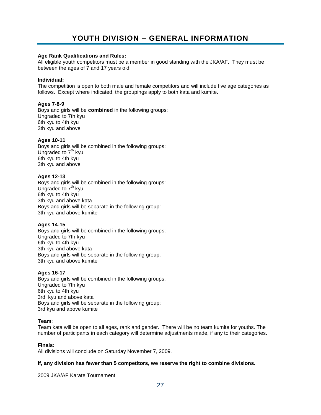#### <span id="page-27-0"></span>**Age Rank Qualifications and Rules:**

All eligible youth competitors must be a member in good standing with the JKA/AF. They must be between the ages of 7 and 17 years old.

#### **lndividual:**

The competition is open to both male and female competitors and will include five age categories as follows. Except where indicated, the groupings apply to both kata and kumite.

#### **Ages 7-8-9**

Boys and girls will be **combined** in the following groups: Ungraded to 7th kyu 6th kyu to 4th kyu 3th kyu and above

#### **Ages 10-11**

Boys and girls will be combined in the following groups: Ungraded to  $7<sup>th</sup>$  kyu 6th kyu to 4th kyu 3th kyu and above

#### **Ages 12-13**

Boys and girls will be combined in the following groups: Ungraded to  $7<sup>th</sup>$  kyu 6th kyu to 4th kyu 3th kyu and above kata Boys and girls will be separate in the following group: 3th kyu and above kumite

#### **Ages 14-15**

Boys and girls will be combined in the following groups: Ungraded to 7th kyu 6th kyu to 4th kyu 3th kyu and above kata Boys and girls will be separate in the following group: 3th kyu and above kumite

#### **Ages 16-17**

Boys and girls will be combined in the following groups: Ungraded to 7th kyu 6th kyu to 4th kyu 3rd kyu and above kata Boys and girls will be separate in the following group: 3rd kyu and above kumite

#### **Team**:

Team kata will be open to all ages, rank and gender. There will be no team kumite for youths. The number of participants in each category will determine adjustments made, if any to their categories.

#### **Finals:**

All divisions will conclude on Saturday November 7, 2009.

#### **If, any division has fewer than 5 competitors, we reserve the right to combine divisions.**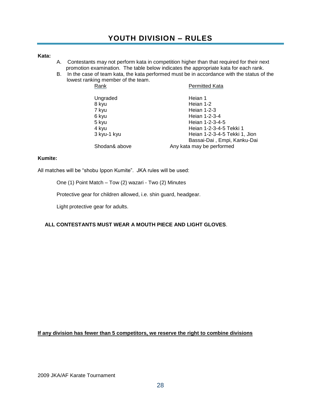#### <span id="page-28-0"></span>**Kata:**

- A. Contestants may not perform kata in competition higher than that required for their next promotion examination. The table below indicates the appropriate kata for each rank.
- B. In the case of team kata, the kata performed must be in accordance with the status of the lowest ranking member of the team.

| Rank          | <b>Permitted Kata</b>         |
|---------------|-------------------------------|
| Ungraded      | Heian 1                       |
| 8 kyu         | Heian 1-2                     |
| 7 kyu         | Heian 1-2-3                   |
| 6 kyu         | Heian 1-2-3-4                 |
| 5 kyu         | Heian 1-2-3-4-5               |
| 4 kyu         | Heian 1-2-3-4-5 Tekki 1       |
| 3 kyu-1 kyu   | Heian 1-2-3-4-5 Tekki 1, Jion |
|               | Bassai-Dai, Empi, Kanku-Dai   |
| Shodan& above | Any kata may be performed     |

#### **Kumite:**

All matches will be "shobu Ippon Kumite". JKA rules will be used:

One (1) Point Match – Tow (2) wazari - Two (2) Minutes

Protective gear for children allowed, i.e. shin guard, headgear.

Light protective gear for adults.

#### **ALL CONTESTANTS MUST WEAR A MOUTH PIECE AND LIGHT GLOVES**.

**If any division has fewer than 5 competitors, we reserve the right to combine divisions**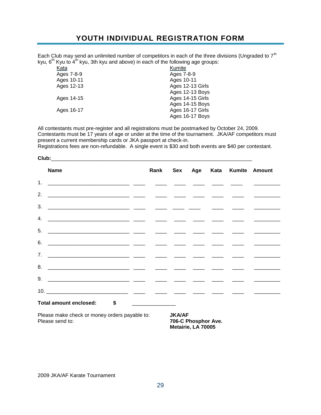### **YOUTH INDIVIDUAL REGISTRATION FORM**

<span id="page-29-0"></span>Each Club may send an unlimited number of competitors in each of the three divisions (Ungraded to  $7<sup>th</sup>$ kyu,  $6<sup>th</sup>$  Kyu to  $4<sup>th</sup>$  kyu, 3th kyu and above) in each of the following age groups:

| Kata       | Kumite           |
|------------|------------------|
| Ages 7-8-9 | Ages 7-8-9       |
| Ages 10-11 | Ages 10-11       |
| Ages 12-13 | Ages 12-13 Girls |
|            | Ages 12-13 Boys  |
| Ages 14-15 | Ages 14-15 Girls |
|            | Ages 14-15 Boys  |
| Ages 16-17 | Ages 16-17 Girls |
|            | Ages 16-17 Boys  |
|            |                  |

All contestants must pre-register and all registrations must be postmarked by October 24, 2009. Contestants must be 17 years of age or under at the time of the tournament. JKA/AF competitors must present a current membership cards or JKA passport at check-in.

Registrations fees are non-refundable. A single event is \$30 and both events are \$40 per contestant.

| <b>Name</b>               |  |  |  | Rank Sex Age Kata Kumite Amount   |
|---------------------------|--|--|--|-----------------------------------|
|                           |  |  |  |                                   |
|                           |  |  |  |                                   |
|                           |  |  |  |                                   |
|                           |  |  |  |                                   |
|                           |  |  |  |                                   |
|                           |  |  |  |                                   |
|                           |  |  |  | the control of the control of the |
|                           |  |  |  |                                   |
|                           |  |  |  |                                   |
|                           |  |  |  |                                   |
| Total amount enclosed: \$ |  |  |  |                                   |
|                           |  |  |  |                                   |

Please make check or money orders payable to: **JKA/AF** Please send to: **706-C Phosphor Ave.**

**Metairie, LA 70005**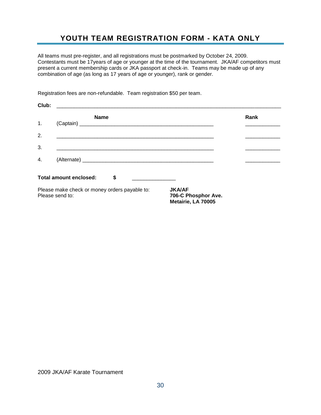### **YOUTH TEAM REGISTRATION FORM - KATA ONLY**

<span id="page-30-0"></span>All teams must pre-register, and all registrations must be postmarked by October 24, 2009. Contestants must be 17years of age or younger at the time of the tournament. JKA/AF competitors must present a current membership cards or JKA passport at check-in. Teams may be made up of any combination of age (as long as 17 years of age or younger), rank or gender.

Registration fees are non-refundable. Team registration \$50 per team.

| Club: | <u> 1980 - Johann Johann Stoff, deutscher Stoff und der Stoff und der Stoff und der Stoff und der Stoff und der S</u> |                                                            |      |
|-------|-----------------------------------------------------------------------------------------------------------------------|------------------------------------------------------------|------|
| 1.    | <b>Name</b>                                                                                                           |                                                            | Rank |
|       |                                                                                                                       |                                                            |      |
| 2.    |                                                                                                                       |                                                            |      |
| 3.    |                                                                                                                       |                                                            |      |
| 4.    |                                                                                                                       |                                                            |      |
|       | <b>Total amount enclosed:</b><br>\$                                                                                   |                                                            |      |
|       | Please make check or money orders payable to:<br>Please send to:                                                      | <b>JKA/AF</b><br>706-C Phosphor Ave.<br>Metairie, LA 70005 |      |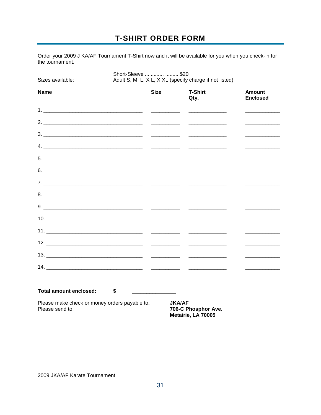### **T-SHIRT ORDER FORM**

<span id="page-31-0"></span>Order your 2009 J KA/AF Tournament T-Shirt now and it will be available for you when you check-in for the tournament.

| Adult S, M, L, X L, X XL (specify charge if not listed)<br>Sizes available: |             |                                                                                                                                                                                                                                      |                                                     |  |
|-----------------------------------------------------------------------------|-------------|--------------------------------------------------------------------------------------------------------------------------------------------------------------------------------------------------------------------------------------|-----------------------------------------------------|--|
| <b>Name</b>                                                                 | <b>Size</b> | <b>T-Shirt</b><br>Qty.                                                                                                                                                                                                               | <b>Amount</b><br><b>Enclosed</b>                    |  |
|                                                                             |             |                                                                                                                                                                                                                                      |                                                     |  |
|                                                                             |             |                                                                                                                                                                                                                                      |                                                     |  |
|                                                                             |             |                                                                                                                                                                                                                                      | <u> 1989 - Johann Barbara, martin a</u>             |  |
|                                                                             |             |                                                                                                                                                                                                                                      |                                                     |  |
|                                                                             |             |                                                                                                                                                                                                                                      |                                                     |  |
|                                                                             |             |                                                                                                                                                                                                                                      |                                                     |  |
|                                                                             |             |                                                                                                                                                                                                                                      |                                                     |  |
|                                                                             |             | <u> Alexandria de la contenentación de la contenentación de la contenentación de la contenentación de la contene</u>                                                                                                                 |                                                     |  |
|                                                                             |             |                                                                                                                                                                                                                                      |                                                     |  |
|                                                                             |             |                                                                                                                                                                                                                                      |                                                     |  |
|                                                                             |             |                                                                                                                                                                                                                                      |                                                     |  |
|                                                                             |             |                                                                                                                                                                                                                                      | <u> 1989 - Johann Barbara, martxa a shekara 198</u> |  |
|                                                                             |             |                                                                                                                                                                                                                                      | the control of the control of the control of        |  |
|                                                                             |             | <u> The Common State of the Common State of the Common State of the Common State of the Common State of the Common State of the Common State of the Common State of the Common State of the Common State of the Common State of </u> |                                                     |  |
|                                                                             |             |                                                                                                                                                                                                                                      |                                                     |  |
| <b>Total amount enclosed:</b>                                               | \$          |                                                                                                                                                                                                                                      |                                                     |  |

Please send to:

706-C Phosphor Ave.<br>Metairie, LA 70005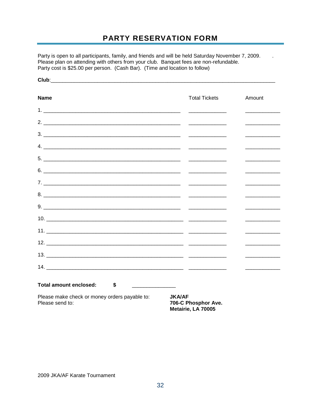### PARTY RESERVATION FORM

 $\mathbb{Z}$ 

<span id="page-32-0"></span>Party is open to all participants, family, and friends and will be held Saturday November 7, 2009. Please plan on attending with others from your club. Banquet fees are non-refundable. Party cost is \$25.00 per person. (Cash Bar). (Time and location to follow)

| <b>Name</b>                                                      | <b>Total Tickets</b>                                       | Amount                                              |
|------------------------------------------------------------------|------------------------------------------------------------|-----------------------------------------------------|
|                                                                  |                                                            |                                                     |
|                                                                  |                                                            |                                                     |
|                                                                  |                                                            |                                                     |
|                                                                  |                                                            |                                                     |
|                                                                  |                                                            |                                                     |
|                                                                  |                                                            |                                                     |
|                                                                  |                                                            |                                                     |
|                                                                  |                                                            |                                                     |
|                                                                  |                                                            | <u> 1989 - Andrea Station Barbara, amerikan per</u> |
|                                                                  |                                                            |                                                     |
|                                                                  |                                                            |                                                     |
|                                                                  |                                                            |                                                     |
|                                                                  |                                                            |                                                     |
|                                                                  |                                                            |                                                     |
| Total amount enclosed:<br>$\sim$                                 |                                                            |                                                     |
| Please make check or money orders payable to:<br>Please send to: | <b>JKA/AF</b><br>706-C Phosphor Ave.<br>Metairie, LA 70005 |                                                     |